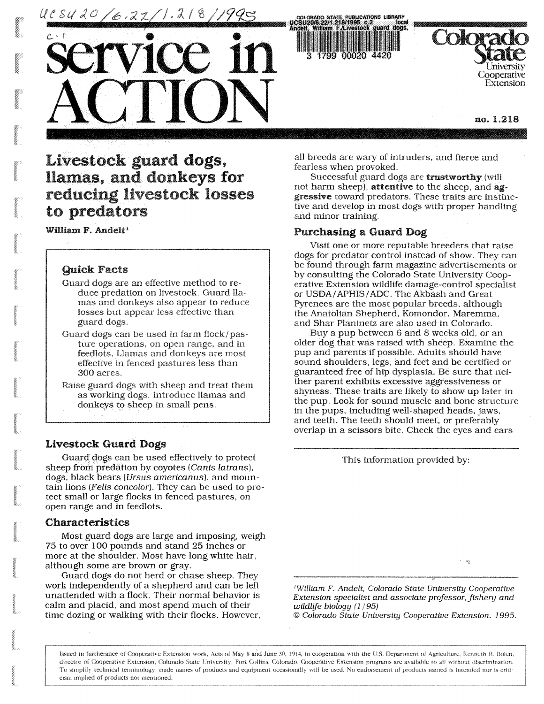UC SU 20 /6.22/1.218

service in

ACTION

22/1.218/1995<br>Iliam F/Livesto

University **Cooperative** Extension

**no. 1.218** 

# **Livestock guard dogs, llamas, and donkeys for reducing livestock losses to predators**

## **William** F. **Andelt<sup>1</sup>**

## Quick Facts

- Guard dogs are an effective method to reduce predation on livestock. Guard llamas and donkeys also appear to reduce losses but appear less effective than guard dogs.
- Guard dogs can be used in farm flock/pasture operations, on open range, and in feedlots. Llamas and donkeys are most effective in fenced pastures less than 300 acres.

Raise guard dogs with sheep and treat them as working dogs. Introduce llamas and donkeys to sheep in small pens.

## **Livestock Guard Dogs**

Guard dogs can be used effectively to protect sheep from predation by coyotes (Canis *latrans),*  dogs, black bears (*Ursus amer*i*canus*), and mountain lions *(Felts concolor).* They can be used to protect small or large flocks in fenced pastures, on open range and in feedlots.

## **Characteristics**

Most guard dogs are large and imposing, weigh 75 to over 100 pounds and stand 25 inches or more at the shoulder. Most have long white hair, although some are brown or gray.

Guard dogs do not herd or chase sheep. **They**  work independently of a shepherd and can be left unattended with a flock. Their normal behavior is calm and placid, and most spend much of their time dozing or walking with their flocks. However, all breeds are wary of intruders, and fierce and fearless when provoked.

Successful guard dogs are **trustworthy** (will not harm sheep), attentive to the sheep, and aggressive toward predators. These traits are instinctive and develop in most dogs with proper handling and minor training.

## **Purchasing** a Guard Dog

Visit one or more reputable breeders that raise dogs for predator control instead of show. They can be found through farm magazine advertisements or by consulting the Colorado State University Cooperative Extension wildlife damage-control specialist or USDA/APHIS /ADC. The Akbash and Great Pyrenees are the most popular breeds, although the Anatolian Shepherd, Komondor, Maremma, and Shar Planinetz are also used in Colorado.

Buy a pup between 6 and 8 weeks old, or an older dog that was raised with sheep. Examine the pup and parents if possible. Adults should have sound shoulders, legs, and feet and be certified or guaranteed free of hip dysplasia. Be sure that neither parent exhibits excessive aggressiveness or shyness. These traits are likely to show up later in the pup. Look for sound muscle and bone structure in the pups, including well-shaped heads, jaws, and teeth. The teeth should meet, or preferably overlap in a scissors bite. Check the eyes and ears

This information provided by:

*'William F. Andelt, Colorado State University Cooperative Extension specialist and associate professor, fishery and wildlife biology (1/95)* 

 $\mathbf{Q}$ 

*© Colorado State University Cooperative Extension. 1995.* 

Issued in furtherance of Cooperative Extension work. Acts of May 8 and June 30, 1914, in cooperation with the U.S. Department of Agriculture, Kenneth R. Bolen, director of Cooperative Extension, Colorado State University, Fort Collins, Colorado. Cooperative Extension programs are available to all without discrimination. To simplify technical terminology, trade names of products and equipment occasionally will be used. No endorsement of products named is intended nor is criticism implied of products not mentioned.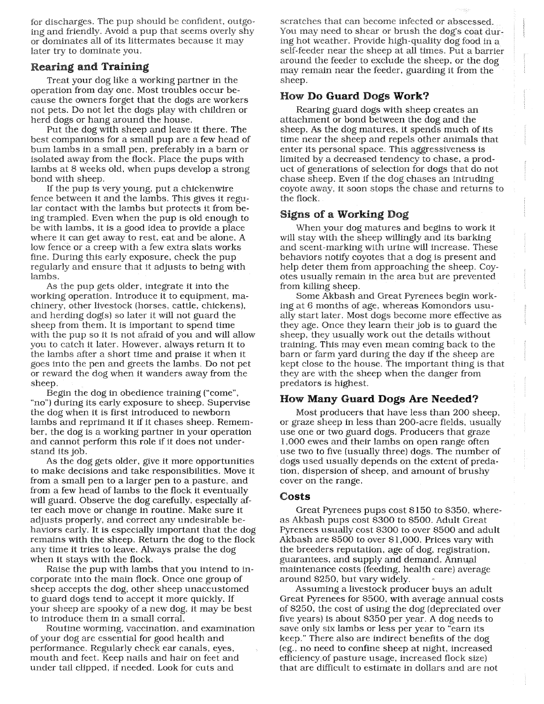for discharges. The pup should be confident, outgoing and friendly. Avoid a pup that seems overly shy or dominates all of its littermates because it may later try to dominate you.

# Rearing and **Training**

Treat your dog like a working partner in the operation from day one. Most troubles occur because the owners forget that the dogs are workers not pets. Do not let the dogs play with children or herd dogs or hang around the house.

Put the dog with sheep and leave it there. The best companions for a small pup are a few head of bum lambs in a small pen, preferably in a barn or isolated away from the flock. Place the pups with lambs at 8 weeks old, when pups develop a strong bond with sheep.

If the pup is very young, put a chickenwire fence between it and the lambs. This gives it regular contact with the lambs but protects it from being trampled. Even when the pup is old enough to be with lambs, it is a good idea to provide a place where it can get away to rest, eat and be alone. A low fence or a creep with a few extra slats works fine. During this early exposure, check the pup regularly and ensure that it adjusts to being with lambs.

As the pup gets older, integrate it into the working operation. Introduce it to equipment, machinery, other livestock (horses, cattle, chickens), and herding dog(s) so later it will not guard the sheep from them. It is important to spend time with the pup so it is not afraid of you and will allow you to catch it later. However, always return it to the lambs after a short time and praise it when it goes into the pen and greets the lambs. Do not pet or reward the dog when it wanders away from the sheep.

Begin the dog in obedience training ("come", "no") during its early exposure to sheep. Supervise the dog when it is first introduced to newborn lambs and reprimand it if it chases sheep. Remember, the dog is a working partner in your operation and cannot perform this role if it does not understand its job.

As the dog gets older, give it more opportunities to make decisions and take responsibilities. Move it from a small pen to a larger pen to a pasture, and from a few head of lambs to the flock it eventually will guard. Observe the dog carefully, especially after each move or change in routine. Make sure it adjusts properly, and correct any undesirable behaviors early. It is especially important that the dog remains with the sheep. Return the dog to the flock any time it tries to leave. Always praise the dog when it stays with the flock.

Raise the pup with lambs that you intend to incorporate into the main flock. Once one group of sheep accepts the dog, other sheep unaccustomed to guard dogs tend to accept it more quickly. If your sheep are spooky of a new dog, it may be best to introduce them in a small corral.

Routine worming, vaccination, and examination of your dog are essential for good health and performance. Regularly check ear canals, eyes, mouth and feet. Keep nails and hair on feet and under tail clipped, if needed. Look for cuts and

scratches that can become infected or abscessed. You may need to shear or brush the dog's coat during hot weather. Provide high-quality dog food in a self-feeder near the sheep at all times. Put a barrier around the feeder to exclude the sheep, or the dog may remain near the feeder, guarding it from the sheep.

# How **Do Guard** Dogs **Work?**

Rearing guard dogs with sheep creates an attachment or bond between the dog and the sheep. As the dog matures, it spends much of its time near the sheep and repels other animals that enter its personal space. This aggressiveness is limited by a decreased tendency to chase, a product of generations of selection for dogs that do not chase sheep. Even if the dog chases an intruding coyote away, it soon stops the chase and returns to the flock.

# Signs of a Working Dog

When your dog matures and begins to work it will stay with the sheep willingly and its barking and scent-marking with urine will increase. These behaviors notify coyotes that a dog is present and help deter them from approaching the sheep. Coyotes usually remain in the area but are prevented from killing sheep.

Some Akbash and Great Pyrenees begin working at 6 months of age, whereas Komondors usually start later. Most dogs become more effective as they age. Once they learn their job is to guard the sheep, they usually work out the details without training. This may even mean coming back to the barn or farm yard during the day if the sheep are kept close to the house. The important thing is that they are with the sheep when the danger from predators is highest.

# **How Many Guard Dogs Are Needed?**

Most producers that have less than 200 sheep, or graze sheep in less than 200-acre fields, usually use one or two guard dogs. Producers that graze 1,000 ewes and their lambs on open range often use two to five (usually three) dogs. The number of dogs used usually depends on the extent of predation, dispersion of sheep, and amount of brushy cover on the range.

# **Costs**

Great Pyrenees pups cost \$150 to \$350, whereas Akbash pups cost \$300 to \$500. Adult Great Pyrenees usually cost \$300 to over \$500 and adult Akbash are \$500 to over \$1,000. Prices vary with the breeders reputation, age of dog, registration, guarantees, and supply and demand. Annual maintenance costs (feeding, health care) average around \$250, but vary widely.

Assuming a livestock producer buys an adult Great Pyrenees for \$500, with average annual costs of \$250, the cost of using the dog (depreciated over five years) is about \$350 per year. A dog needs to save only six lambs or less per year to "earn its keep." There also are indirect benefits of the dog (eg., no need to confine sheep at night, increased efficiency of pasture usage, increased flock size) that are difficult to estimate in dollars and are not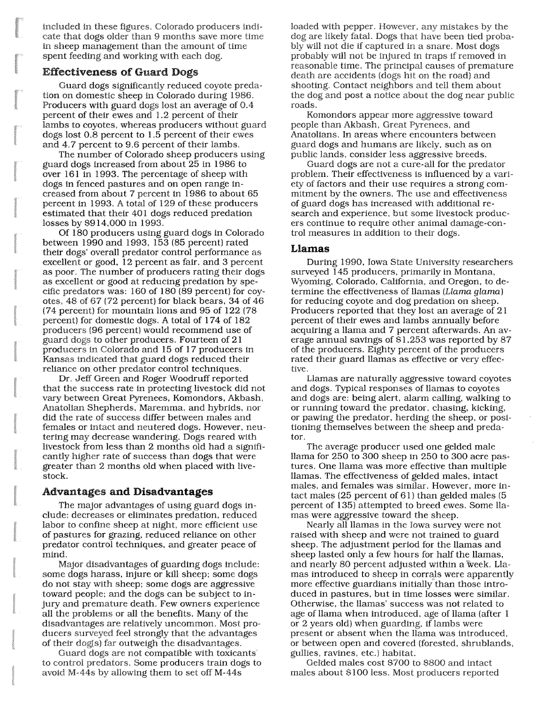Included in these figures. Colorado producers indicate that dogs older than 9 months save more time in sheep management than the amount of time spent feeding and working with each dog.

## **Effectiveness of** Guard Dogs

Guard dogs significantly reduced coyote predation on domestic sheep in Colorado during 1986. Producers with guard dogs lost an average of 0.4 percent of their ewes and 1.2 percent of their lambs to coyotes, whereas producers without guard dogs lost 0.8 percent to 1.5 percent of their ewes and 4.7 percent to 9.6 percent of their lambs.

The number of Colorado sheep producers using guard dogs increased from about 25 in 1986 to over 161 in 1993. The percentage of sheep with dogs in fenced pastures and on open range increased from about 7 percent in 1986 to about 65 percent in 1993. A total of 129 of these producers estimated that their 401 dogs reduced predation losses by \$914,000 in 1993.

Of 180 producers using guard dogs in Colorado between 1990 and 1993, 153 (85 percent) rated their dogs' overall predator control performance as excellent or good, 12 percent as fair, and 3 percent as poor. The number of producers rating their dogs as excellent or good at reducing predation by specific predators was: 160 of 180 (89 percent) for coyotes, 48 of 67 (72 percent) for black bears, 34 of 46 (74 percent) for mountain lions and 95 of 122 (78 percent) for domestic dogs. A total of 174 of 182 producers (96 percent) would recommend use of guard dogs to other producers. Fourteen of 21 producers in Colorado and 15 of 17 producers in Kansas indicated that guard dogs reduced their reliance on, other predator control techniques.

Dr. Jeff Green and Roger Woodruff reported that the success rate in protecting livestock did not vary between Great Pyrenees, Komondors, Akbash, Anatolian Shepherds, Maremma, and hybrids, nor did the rate of success differ between males and females or intact and neutered dogs. However, neutering may decrease wandering. Dogs reared with livestock from less than 2 months old had a significantly higher rate of success than dogs that were greater than 2 months old when placed with livestock.

## Advantages **and Disadvantages**

The major advantages of using guard dogs include: decreases or eliminates predation, reduced labor to confine sheep at night, more efficient use of pastures for grazing, reduced reliance on other predator control techniques, and greater peace of mind.

Major disadvantages of guarding dogs include: some dogs harass, injure or kill sheep; some dogs do not stay with sheep; some dogs are aggressive toward people; and the dogs can be subject to injury and premature death. Few owners experience all the problems or all the benefits. Many of the disadvantages are relatively uncommon. Most producers surveyed feel strongly that the advantages of their dog(s) far outweigh the disadvantages.

Guard dogs are not compatible with toxicants to control predators. Some producers train dogs to avoid M-44s by allowing them to set off M-44s

loaded with pepper. However, any mistakes by the dog are likely fatal. Dogs that have been tied probably will not die if captured in a snare. Most dogs probably will not be injured in traps if removed in reasonable time. The principal causes of premature death are accidents (dogs hit on the road) and shooting. Contact neighbors and tell them about the dog and post a notice about the dog near public roads.

Komondors appear more aggressive toward people than Akbash, Great Pyrenees, and Anatolians. In areas where encounters between guard dogs and humans are likely, such as on public lands, consider less aggressive breeds.

Guard dogs are not a cure-all for the predator problem. Their effectiveness is influenced by a variety of factors and their use requires a strong commitment by the owners. The use and effectiveness of guard dogs has increased with additional research and experience, but some livestock producers continue to require other animal damage-control measures in addition to their dogs.

#### **Llamas**

During 1990, Iowa State University researchers surveyed 145 producers, primarily in Montana, Wyoming, Colorado, California, and Oregon, to determine the effectiveness of llamas *(Llama glama)*  for reducing coyote and dog predation on sheep. Producers reported that they lost an average of 21 percent of their ewes and lambs annually before acquiring a llama and 7 percent afterwards. An average annual savings of \$1,253 was reported by 87 of the producers. Eighty percent of the producers rated their guard llamas as effective or very effective.

Llamas are naturally aggressive toward coyotes and dogs. Typical responses of llamas to coyotes and dogs are: being alert, alarm calling, walking to or running toward the predator, chasing, kicking, or pawing the predator, herding the sheep, or positioning themselves between the sheep and predator.

The average producer used one gelded male llama for 250 to 300 sheep in 250 to 300 acre pastures. One llama was more effective than multiple llamas. The effectiveness of gelded males, intact males, and females was similar. However, more intact males (25 percent of 61) than gelded males (5 percent of 135) attempted to breed ewes. Some llamas were aggressive toward the sheep.

Nearly all llamas in the Iowa survey were not raised with sheep and were not trained to guard sheep. The adjustment period for the llamas and sheep lasted only a few hours for half the llamas, and nearly 80 percent adjusted within a week. Llamas introduced to sheep in corrals were apparently more effective guardians initially than those introduced in pastures, but in time losses were similar. Otherwise, the llamas' success was not related to age of llama when introduced, age of llama (after 1 or 2 years old) when guarding, if lambs were present or absent when the llama was introduced, or between open and covered (forested, shrublands, gullies, ravines, etc.) habitat.

Gelded males cost \$700 to \$800 and intact males about \$100 less. Most producers reported